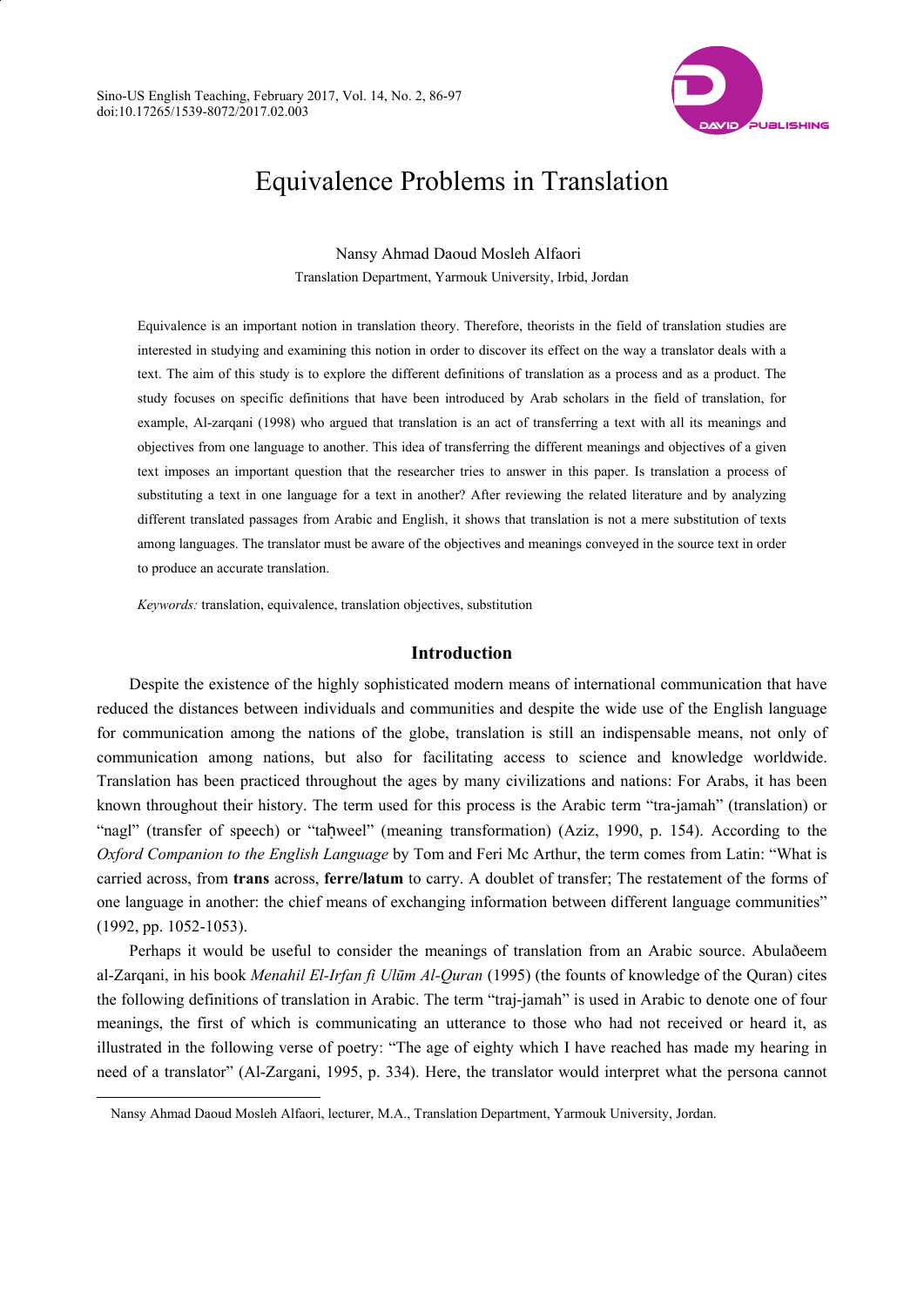

# Equivalence Problems in Translation

Nansy Ahmad Daoud Mosleh Alfaori Translation Department, Yarmouk University, Irbid, Jordan

Equivalence is an important notion in translation theory. Therefore, theorists in the field of translation studies are interested in studying and examining this notion in order to discover its effect on the way a translator deals with a text. The aim of this study is to explore the different definitions of translation as a process and as a product. The study focuses on specific definitions that have been introduced by Arab scholars in the field of translation, for example, Al-zarqani (1998) who argued that translation is an act of transferring a text with all its meanings and objectives from one language to another. This idea of transferring the different meanings and objectives of a given text imposes an important question that the researcher tries to answer in this paper. Is translation a process of substituting a text in one language for a text in another? After reviewing the related literature and by analyzing different translated passages from Arabic and English, it shows that translation is not a mere substitution of texts among languages. The translator must be aware of the objectives and meanings conveyed in the source text in order to produce an accurate translation.

*Keywords:* translation, equivalence, translation objectives, substitution

## **Introduction**

Despite the existence of the highly sophisticated modern means of international communication that have reduced the distances between individuals and communities and despite the wide use of the English language for communication among the nations of the globe, translation is still an indispensable means, not only of communication among nations, but also for facilitating access to science and knowledge worldwide. Translation has been practiced throughout the ages by many civilizations and nations: For Arabs, it has been known throughout their history. The term used for this process is the Arabic term "tra-jamah" (translation) or "nagl" (transfer of speech) or "taḥweel" (meaning transformation) (Aziz, 1990, p. 154). According to the *Oxford Companion to the English Language* by Tom and Feri Mc Arthur, the term comes from Latin: "What is carried across, from **trans** across, **ferre/latum** to carry. A doublet of transfer; The restatement of the forms of one language in another: the chief means of exchanging information between different language communities" (1992, pp. 1052-1053).

Perhaps it would be useful to consider the meanings of translation from an Arabic source. Abulaðeem al-Zarqani, in his book *Menahil El-Irfan fi Ulūm Al-Quran* (1995) (the founts of knowledge of the Quran) cites the following definitions of translation in Arabic. The term "traj-jamah" is used in Arabic to denote one of four meanings, the first of which is communicating an utterance to those who had not received or heard it, as illustrated in the following verse of poetry: "The age of eighty which I have reached has made my hearing in need of a translator" (Al-Zargani, 1995, p. 334). Here, the translator would interpret what the persona cannot

 $\overline{a}$ 

Nansy Ahmad Daoud Mosleh Alfaori, lecturer, M.A., Translation Department, Yarmouk University, Jordan.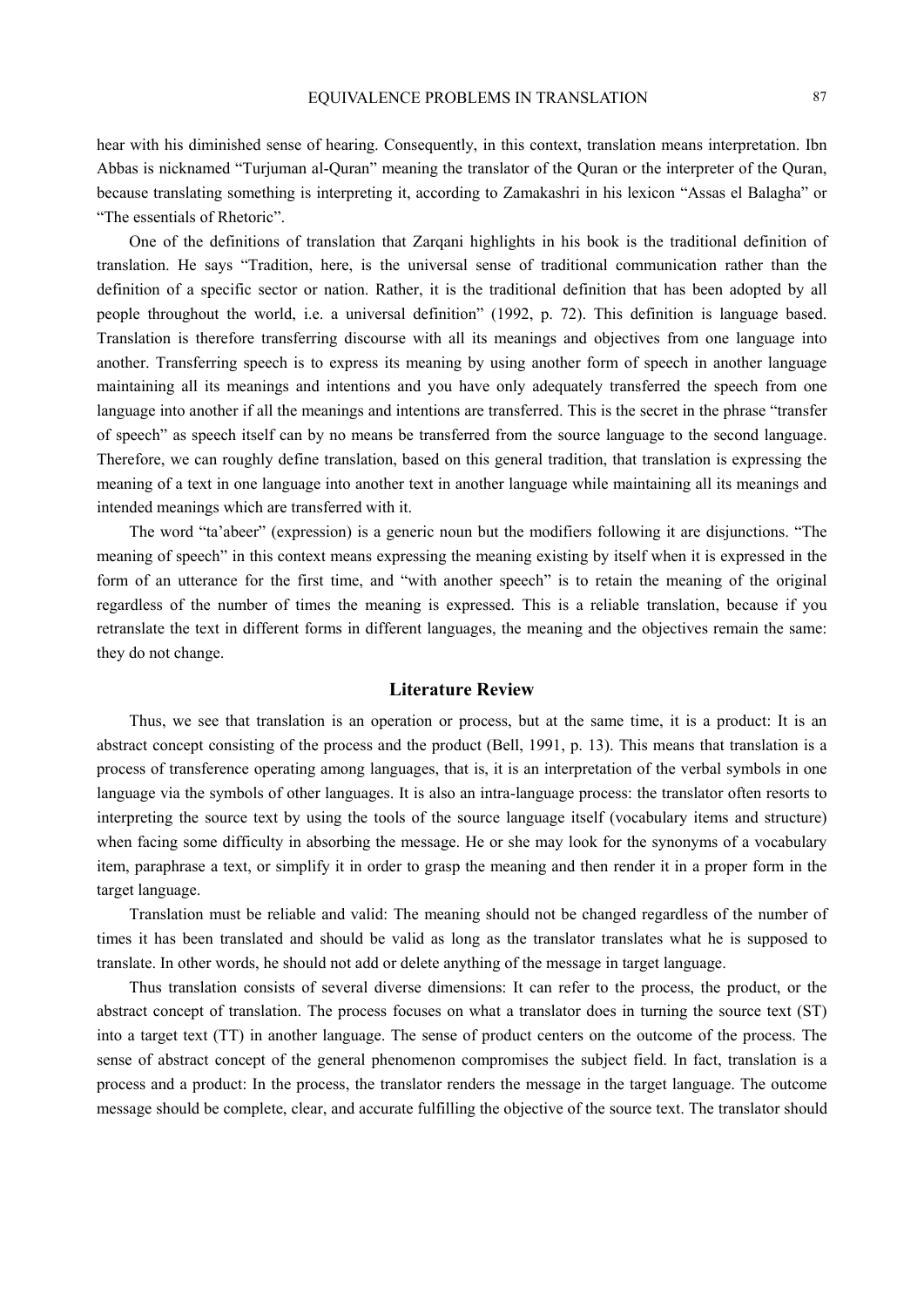hear with his diminished sense of hearing. Consequently, in this context, translation means interpretation. Ibn Abbas is nicknamed "Turjuman al-Quran" meaning the translator of the Quran or the interpreter of the Quran, because translating something is interpreting it, according to Zamakashri in his lexicon "Assas el Balagha" or "The essentials of Rhetoric".

One of the definitions of translation that Zarqani highlights in his book is the traditional definition of translation. He says "Tradition, here, is the universal sense of traditional communication rather than the definition of a specific sector or nation. Rather, it is the traditional definition that has been adopted by all people throughout the world, i.e. a universal definition" (1992, p. 72). This definition is language based. Translation is therefore transferring discourse with all its meanings and objectives from one language into another. Transferring speech is to express its meaning by using another form of speech in another language maintaining all its meanings and intentions and you have only adequately transferred the speech from one language into another if all the meanings and intentions are transferred. This is the secret in the phrase "transfer of speech" as speech itself can by no means be transferred from the source language to the second language. Therefore, we can roughly define translation, based on this general tradition, that translation is expressing the meaning of a text in one language into another text in another language while maintaining all its meanings and intended meanings which are transferred with it.

The word "ta'abeer" (expression) is a generic noun but the modifiers following it are disjunctions. "The meaning of speech" in this context means expressing the meaning existing by itself when it is expressed in the form of an utterance for the first time, and "with another speech" is to retain the meaning of the original regardless of the number of times the meaning is expressed. This is a reliable translation, because if you retranslate the text in different forms in different languages, the meaning and the objectives remain the same: they do not change.

## **Literature Review**

Thus, we see that translation is an operation or process, but at the same time, it is a product: It is an abstract concept consisting of the process and the product (Bell, 1991, p. 13). This means that translation is a process of transference operating among languages, that is, it is an interpretation of the verbal symbols in one language via the symbols of other languages. It is also an intra-language process: the translator often resorts to interpreting the source text by using the tools of the source language itself (vocabulary items and structure) when facing some difficulty in absorbing the message. He or she may look for the synonyms of a vocabulary item, paraphrase a text, or simplify it in order to grasp the meaning and then render it in a proper form in the target language.

Translation must be reliable and valid: The meaning should not be changed regardless of the number of times it has been translated and should be valid as long as the translator translates what he is supposed to translate. In other words, he should not add or delete anything of the message in target language.

Thus translation consists of several diverse dimensions: It can refer to the process, the product, or the abstract concept of translation. The process focuses on what a translator does in turning the source text (ST) into a target text (TT) in another language. The sense of product centers on the outcome of the process. The sense of abstract concept of the general phenomenon compromises the subject field. In fact, translation is a process and a product: In the process, the translator renders the message in the target language. The outcome message should be complete, clear, and accurate fulfilling the objective of the source text. The translator should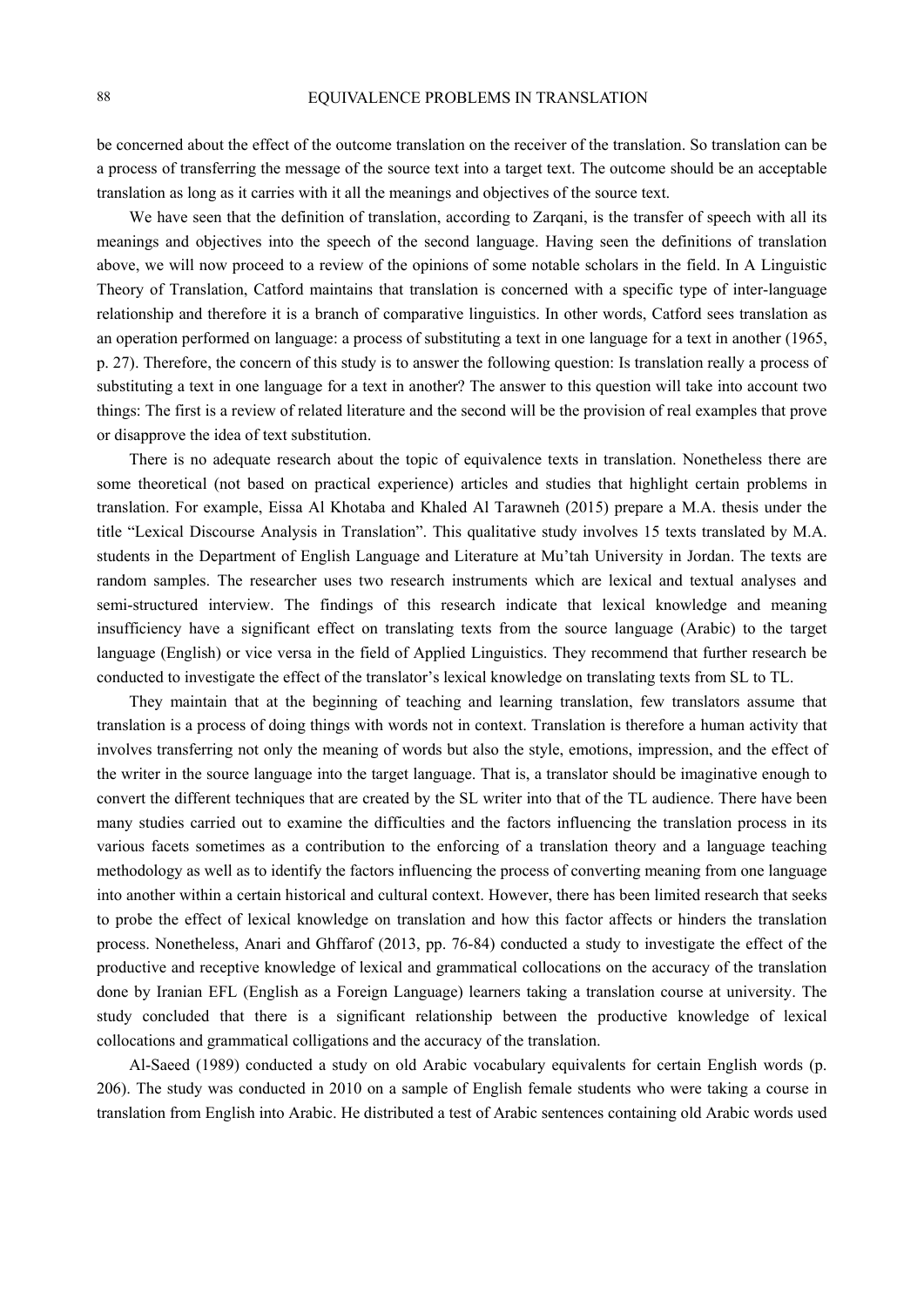be concerned about the effect of the outcome translation on the receiver of the translation. So translation can be a process of transferring the message of the source text into a target text. The outcome should be an acceptable translation as long as it carries with it all the meanings and objectives of the source text.

We have seen that the definition of translation, according to Zarqani, is the transfer of speech with all its meanings and objectives into the speech of the second language. Having seen the definitions of translation above, we will now proceed to a review of the opinions of some notable scholars in the field. In A Linguistic Theory of Translation, Catford maintains that translation is concerned with a specific type of inter-language relationship and therefore it is a branch of comparative linguistics. In other words, Catford sees translation as an operation performed on language: a process of substituting a text in one language for a text in another (1965, p. 27). Therefore, the concern of this study is to answer the following question: Is translation really a process of substituting a text in one language for a text in another? The answer to this question will take into account two things: The first is a review of related literature and the second will be the provision of real examples that prove or disapprove the idea of text substitution.

There is no adequate research about the topic of equivalence texts in translation. Nonetheless there are some theoretical (not based on practical experience) articles and studies that highlight certain problems in translation. For example, Eissa Al Khotaba and Khaled Al Tarawneh (2015) prepare a M.A. thesis under the title "Lexical Discourse Analysis in Translation". This qualitative study involves 15 texts translated by M.A. students in the Department of English Language and Literature at Mu'tah University in Jordan. The texts are random samples. The researcher uses two research instruments which are lexical and textual analyses and semi-structured interview. The findings of this research indicate that lexical knowledge and meaning insufficiency have a significant effect on translating texts from the source language (Arabic) to the target language (English) or vice versa in the field of Applied Linguistics. They recommend that further research be conducted to investigate the effect of the translator's lexical knowledge on translating texts from SL to TL.

They maintain that at the beginning of teaching and learning translation, few translators assume that translation is a process of doing things with words not in context. Translation is therefore a human activity that involves transferring not only the meaning of words but also the style, emotions, impression, and the effect of the writer in the source language into the target language. That is, a translator should be imaginative enough to convert the different techniques that are created by the SL writer into that of the TL audience. There have been many studies carried out to examine the difficulties and the factors influencing the translation process in its various facets sometimes as a contribution to the enforcing of a translation theory and a language teaching methodology as well as to identify the factors influencing the process of converting meaning from one language into another within a certain historical and cultural context. However, there has been limited research that seeks to probe the effect of lexical knowledge on translation and how this factor affects or hinders the translation process. Nonetheless, Anari and Ghffarof (2013, pp. 76-84) conducted a study to investigate the effect of the productive and receptive knowledge of lexical and grammatical collocations on the accuracy of the translation done by Iranian EFL (English as a Foreign Language) learners taking a translation course at university. The study concluded that there is a significant relationship between the productive knowledge of lexical collocations and grammatical colligations and the accuracy of the translation.

Al-Saeed (1989) conducted a study on old Arabic vocabulary equivalents for certain English words (p. 206). The study was conducted in 2010 on a sample of English female students who were taking a course in translation from English into Arabic. He distributed a test of Arabic sentences containing old Arabic words used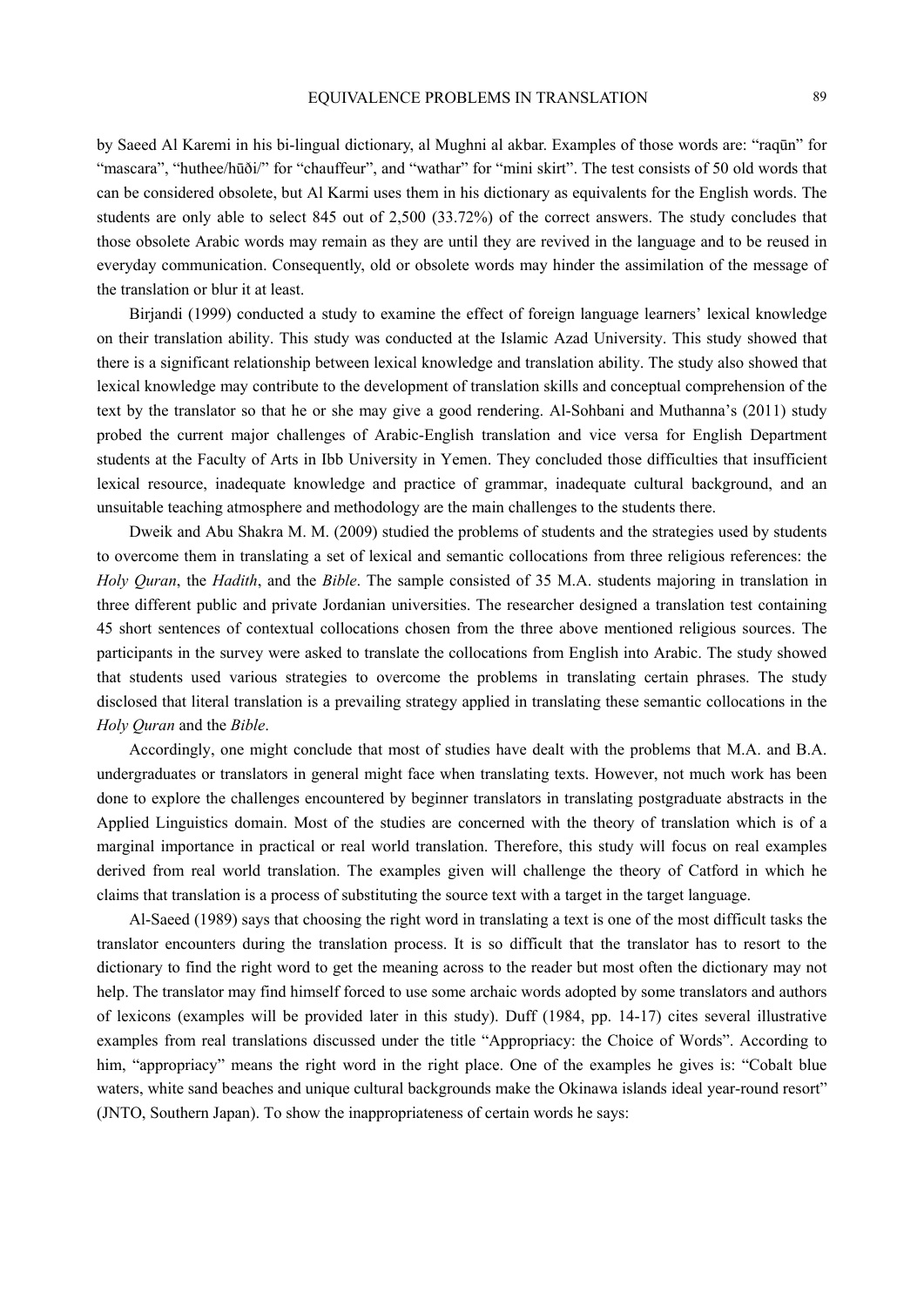by Saeed Al Karemi in his bi-lingual dictionary, al Mughni al akbar. Examples of those words are: "raqūn" for "mascara", "huthee/hūði/" for "chauffeur", and "wathar" for "mini skirt". The test consists of 50 old words that can be considered obsolete, but Al Karmi uses them in his dictionary as equivalents for the English words. The students are only able to select 845 out of 2,500 (33.72%) of the correct answers. The study concludes that those obsolete Arabic words may remain as they are until they are revived in the language and to be reused in everyday communication. Consequently, old or obsolete words may hinder the assimilation of the message of the translation or blur it at least.

Birjandi (1999) conducted a study to examine the effect of foreign language learners' lexical knowledge on their translation ability. This study was conducted at the Islamic Azad University. This study showed that there is a significant relationship between lexical knowledge and translation ability. The study also showed that lexical knowledge may contribute to the development of translation skills and conceptual comprehension of the text by the translator so that he or she may give a good rendering. Al-Sohbani and Muthanna's (2011) study probed the current major challenges of Arabic-English translation and vice versa for English Department students at the Faculty of Arts in Ibb University in Yemen. They concluded those difficulties that insufficient lexical resource, inadequate knowledge and practice of grammar, inadequate cultural background, and an unsuitable teaching atmosphere and methodology are the main challenges to the students there.

Dweik and Abu Shakra M. M. (2009) studied the problems of students and the strategies used by students to overcome them in translating a set of lexical and semantic collocations from three religious references: the *Holy Quran*, the *Hadith*, and the *Bible*. The sample consisted of 35 M.A. students majoring in translation in three different public and private Jordanian universities. The researcher designed a translation test containing 45 short sentences of contextual collocations chosen from the three above mentioned religious sources. The participants in the survey were asked to translate the collocations from English into Arabic. The study showed that students used various strategies to overcome the problems in translating certain phrases. The study disclosed that literal translation is a prevailing strategy applied in translating these semantic collocations in the *Holy Quran* and the *Bible*.

Accordingly, one might conclude that most of studies have dealt with the problems that M.A. and B.A. undergraduates or translators in general might face when translating texts. However, not much work has been done to explore the challenges encountered by beginner translators in translating postgraduate abstracts in the Applied Linguistics domain. Most of the studies are concerned with the theory of translation which is of a marginal importance in practical or real world translation. Therefore, this study will focus on real examples derived from real world translation. The examples given will challenge the theory of Catford in which he claims that translation is a process of substituting the source text with a target in the target language.

Al-Saeed (1989) says that choosing the right word in translating a text is one of the most difficult tasks the translator encounters during the translation process. It is so difficult that the translator has to resort to the dictionary to find the right word to get the meaning across to the reader but most often the dictionary may not help. The translator may find himself forced to use some archaic words adopted by some translators and authors of lexicons (examples will be provided later in this study). Duff (1984, pp. 14-17) cites several illustrative examples from real translations discussed under the title "Appropriacy: the Choice of Words". According to him, "appropriacy" means the right word in the right place. One of the examples he gives is: "Cobalt blue waters, white sand beaches and unique cultural backgrounds make the Okinawa islands ideal year-round resort" (JNTO, Southern Japan). To show the inappropriateness of certain words he says: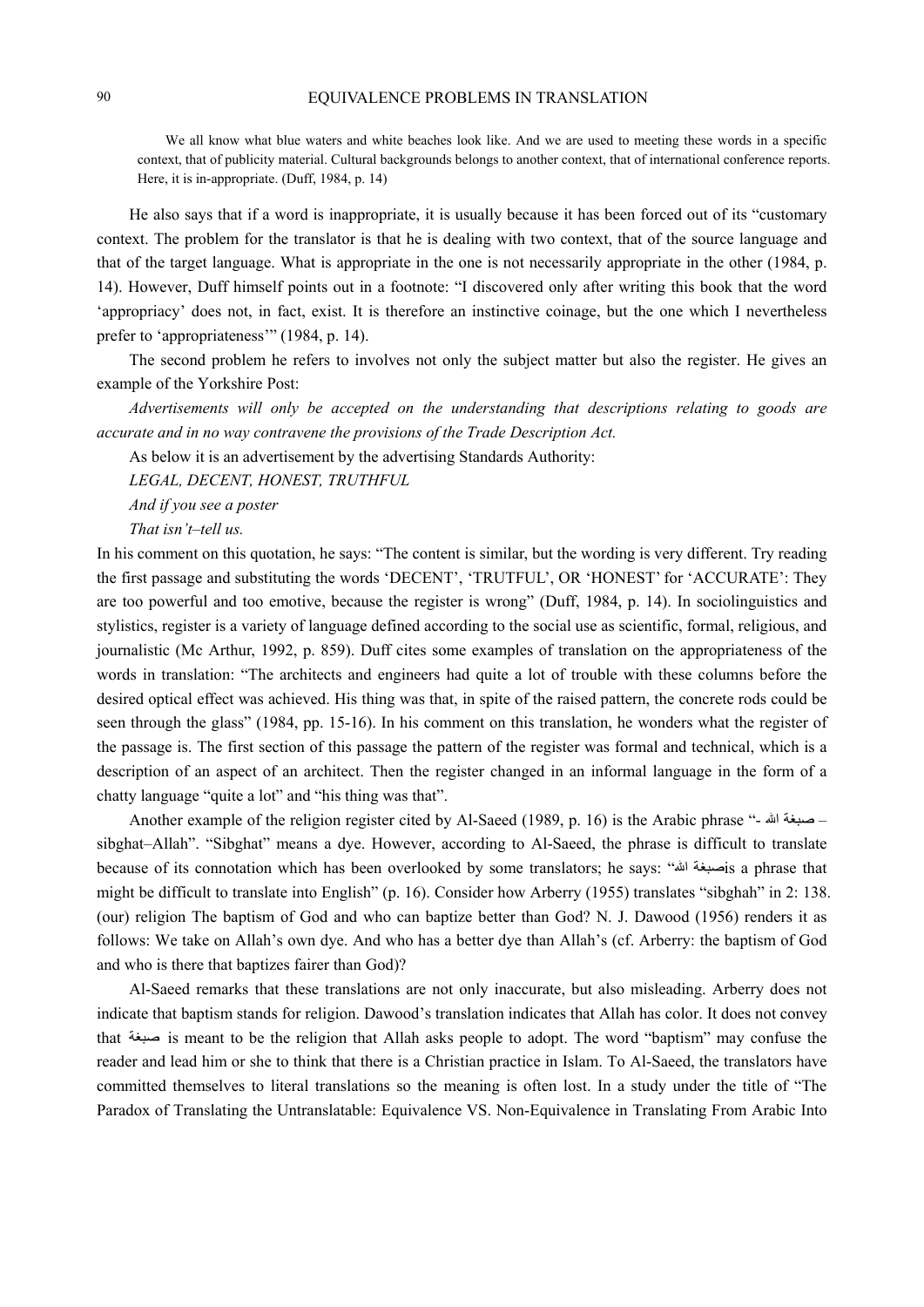We all know what blue waters and white beaches look like. And we are used to meeting these words in a specific context, that of publicity material. Cultural backgrounds belongs to another context, that of international conference reports. Here, it is in-appropriate. (Duff, 1984, p. 14)

He also says that if a word is inappropriate, it is usually because it has been forced out of its "customary context. The problem for the translator is that he is dealing with two context, that of the source language and that of the target language. What is appropriate in the one is not necessarily appropriate in the other (1984, p. 14). However, Duff himself points out in a footnote: "I discovered only after writing this book that the word 'appropriacy' does not, in fact, exist. It is therefore an instinctive coinage, but the one which I nevertheless prefer to 'appropriateness'" (1984, p. 14).

The second problem he refers to involves not only the subject matter but also the register. He gives an example of the Yorkshire Post:

*Advertisements will only be accepted on the understanding that descriptions relating to goods are accurate and in no way contravene the provisions of the Trade Description Act.* 

As below it is an advertisement by the advertising Standards Authority:

*LEGAL, DECENT, HONEST, TRUTHFUL* 

*And if you see a poster* 

*That isn't–tell us.* 

In his comment on this quotation, he says: "The content is similar, but the wording is very different. Try reading the first passage and substituting the words 'DECENT', 'TRUTFUL', OR 'HONEST' for 'ACCURATE': They are too powerful and too emotive, because the register is wrong" (Duff, 1984, p. 14). In sociolinguistics and stylistics, register is a variety of language defined according to the social use as scientific, formal, religious, and journalistic (Mc Arthur, 1992, p. 859). Duff cites some examples of translation on the appropriateness of the words in translation: "The architects and engineers had quite a lot of trouble with these columns before the desired optical effect was achieved. His thing was that, in spite of the raised pattern, the concrete rods could be seen through the glass" (1984, pp. 15-16). In his comment on this translation, he wonders what the register of the passage is. The first section of this passage the pattern of the register was formal and technical, which is a description of an aspect of an architect. Then the register changed in an informal language in the form of a chatty language "quite a lot" and "his thing was that".

Another example of the religion register cited by Al-Saeed (1989, p. 16) is the Arabic phrase "- صبغة الله sibghat–Allah". "Sibghat" means a dye. However, according to Al-Saeed, the phrase is difficult to translate because of its connotation which has been overlooked by some translators; he says: "السبغة الله" sa phrase that might be difficult to translate into English" (p. 16). Consider how Arberry (1955) translates "sibghah" in 2: 138. (our) religion The baptism of God and who can baptize better than God? N. J. Dawood (1956) renders it as follows: We take on Allah's own dye. And who has a better dye than Allah's (cf. Arberry: the baptism of God and who is there that baptizes fairer than God)?

Al-Saeed remarks that these translations are not only inaccurate, but also misleading. Arberry does not indicate that baptism stands for religion. Dawood's translation indicates that Allah has color. It does not convey that صبغة is meant to be the religion that Allah asks people to adopt. The word "baptism" may confuse the reader and lead him or she to think that there is a Christian practice in Islam. To Al-Saeed, the translators have committed themselves to literal translations so the meaning is often lost. In a study under the title of "The Paradox of Translating the Untranslatable: Equivalence VS. Non-Equivalence in Translating From Arabic Into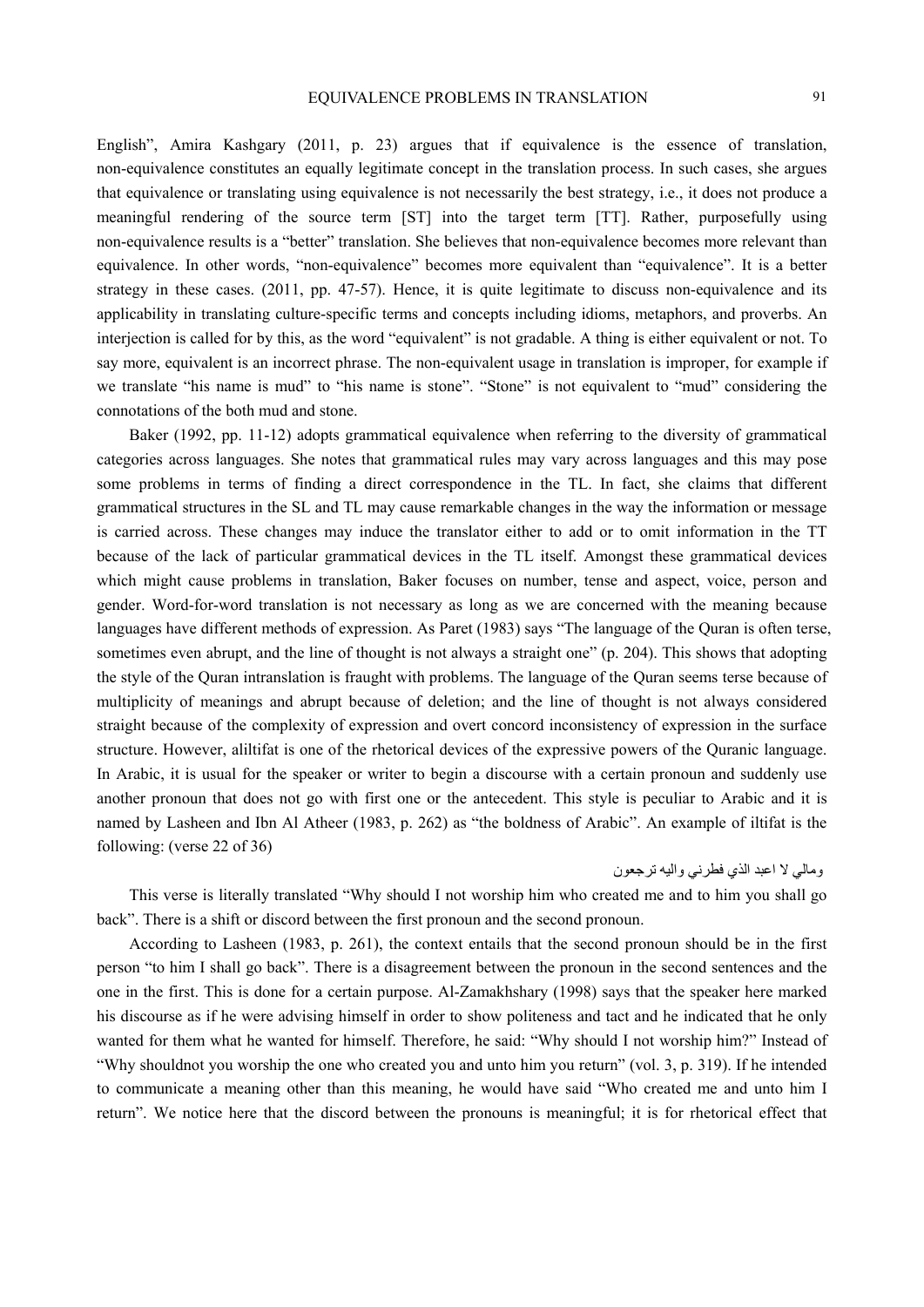English", Amira Kashgary (2011, p. 23) argues that if equivalence is the essence of translation, non-equivalence constitutes an equally legitimate concept in the translation process. In such cases, she argues that equivalence or translating using equivalence is not necessarily the best strategy, i.e., it does not produce a meaningful rendering of the source term [ST] into the target term [TT]. Rather, purposefully using non-equivalence results is a "better" translation. She believes that non-equivalence becomes more relevant than equivalence. In other words, "non-equivalence" becomes more equivalent than "equivalence". It is a better strategy in these cases. (2011, pp. 47-57). Hence, it is quite legitimate to discuss non-equivalence and its applicability in translating culture-specific terms and concepts including idioms, metaphors, and proverbs. An interjection is called for by this, as the word "equivalent" is not gradable. A thing is either equivalent or not. To say more, equivalent is an incorrect phrase. The non-equivalent usage in translation is improper, for example if we translate "his name is mud" to "his name is stone". "Stone" is not equivalent to "mud" considering the connotations of the both mud and stone.

Baker (1992, pp. 11-12) adopts grammatical equivalence when referring to the diversity of grammatical categories across languages. She notes that grammatical rules may vary across languages and this may pose some problems in terms of finding a direct correspondence in the TL. In fact, she claims that different grammatical structures in the SL and TL may cause remarkable changes in the way the information or message is carried across. These changes may induce the translator either to add or to omit information in the TT because of the lack of particular grammatical devices in the TL itself. Amongst these grammatical devices which might cause problems in translation, Baker focuses on number, tense and aspect, voice, person and gender. Word-for-word translation is not necessary as long as we are concerned with the meaning because languages have different methods of expression. As Paret (1983) says "The language of the Quran is often terse, sometimes even abrupt, and the line of thought is not always a straight one" (p. 204). This shows that adopting the style of the Quran intranslation is fraught with problems. The language of the Quran seems terse because of multiplicity of meanings and abrupt because of deletion; and the line of thought is not always considered straight because of the complexity of expression and overt concord inconsistency of expression in the surface structure. However, aliltifat is one of the rhetorical devices of the expressive powers of the Quranic language. In Arabic, it is usual for the speaker or writer to begin a discourse with a certain pronoun and suddenly use another pronoun that does not go with first one or the antecedent. This style is peculiar to Arabic and it is named by Lasheen and Ibn Al Atheer (1983, p. 262) as "the boldness of Arabic". An example of iltifat is the following: (verse 22 of 36)

# ومالي لا اعبد الذي فطرني واليه ترجعون

This verse is literally translated "Why should I not worship him who created me and to him you shall go back". There is a shift or discord between the first pronoun and the second pronoun.

According to Lasheen (1983, p. 261), the context entails that the second pronoun should be in the first person "to him I shall go back". There is a disagreement between the pronoun in the second sentences and the one in the first. This is done for a certain purpose. Al-Zamakhshary (1998) says that the speaker here marked his discourse as if he were advising himself in order to show politeness and tact and he indicated that he only wanted for them what he wanted for himself. Therefore, he said: "Why should I not worship him?" Instead of "Why shouldnot you worship the one who created you and unto him you return" (vol. 3, p. 319). If he intended to communicate a meaning other than this meaning, he would have said "Who created me and unto him I return". We notice here that the discord between the pronouns is meaningful; it is for rhetorical effect that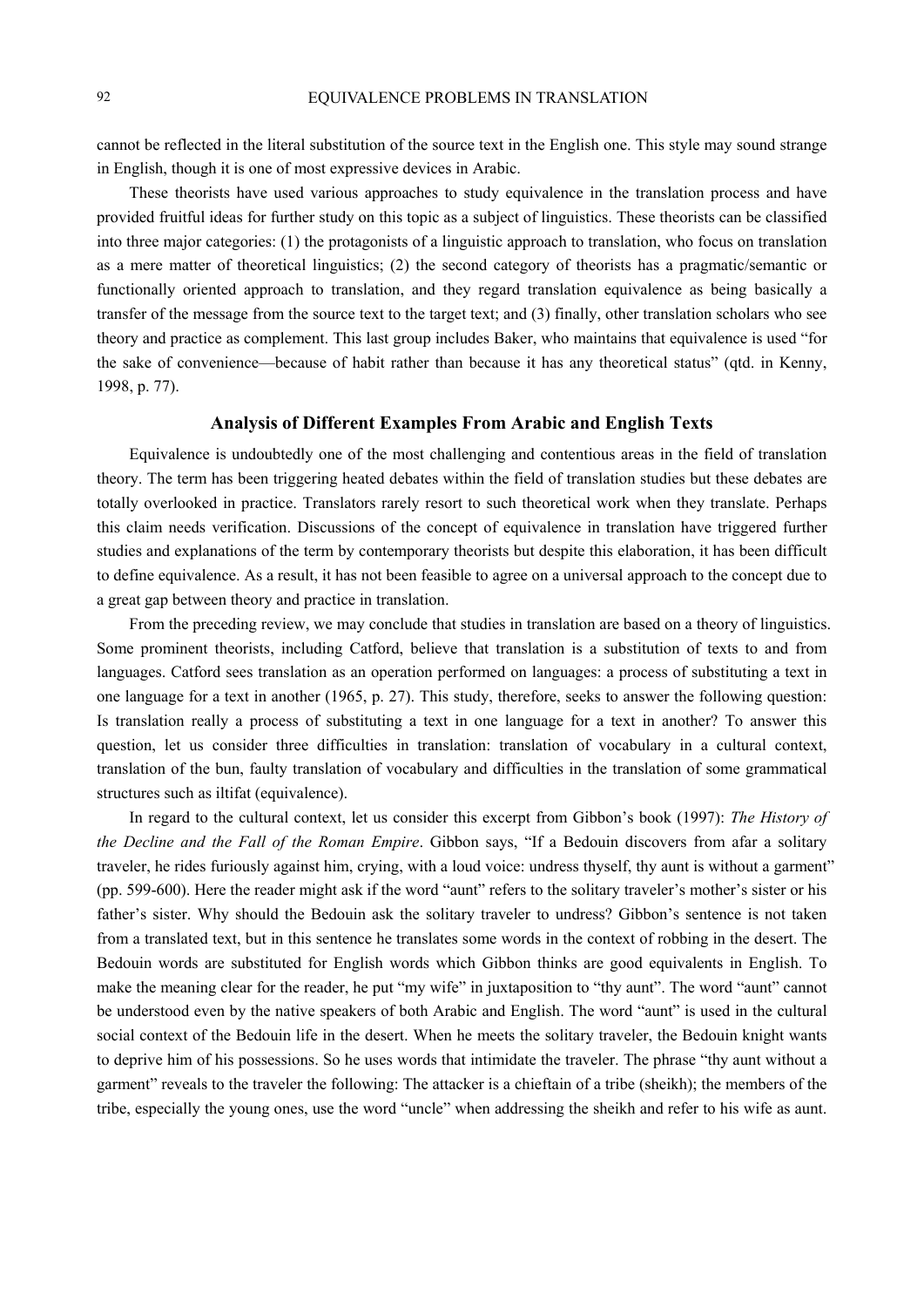cannot be reflected in the literal substitution of the source text in the English one. This style may sound strange in English, though it is one of most expressive devices in Arabic.

These theorists have used various approaches to study equivalence in the translation process and have provided fruitful ideas for further study on this topic as a subject of linguistics. These theorists can be classified into three major categories: (1) the protagonists of a linguistic approach to translation, who focus on translation as a mere matter of theoretical linguistics; (2) the second category of theorists has a pragmatic/semantic or functionally oriented approach to translation, and they regard translation equivalence as being basically a transfer of the message from the source text to the target text; and (3) finally, other translation scholars who see theory and practice as complement. This last group includes Baker, who maintains that equivalence is used "for the sake of convenience—because of habit rather than because it has any theoretical status" (qtd. in Kenny, 1998, p. 77).

#### **Analysis of Different Examples From Arabic and English Texts**

Equivalence is undoubtedly one of the most challenging and contentious areas in the field of translation theory. The term has been triggering heated debates within the field of translation studies but these debates are totally overlooked in practice. Translators rarely resort to such theoretical work when they translate. Perhaps this claim needs verification. Discussions of the concept of equivalence in translation have triggered further studies and explanations of the term by contemporary theorists but despite this elaboration, it has been difficult to define equivalence. As a result, it has not been feasible to agree on a universal approach to the concept due to a great gap between theory and practice in translation.

From the preceding review, we may conclude that studies in translation are based on a theory of linguistics. Some prominent theorists, including Catford, believe that translation is a substitution of texts to and from languages. Catford sees translation as an operation performed on languages: a process of substituting a text in one language for a text in another (1965, p. 27). This study, therefore, seeks to answer the following question: Is translation really a process of substituting a text in one language for a text in another? To answer this question, let us consider three difficulties in translation: translation of vocabulary in a cultural context, translation of the bun, faulty translation of vocabulary and difficulties in the translation of some grammatical structures such as iltifat (equivalence).

In regard to the cultural context, let us consider this excerpt from Gibbon's book (1997): *The History of the Decline and the Fall of the Roman Empire*. Gibbon says, "If a Bedouin discovers from afar a solitary traveler, he rides furiously against him, crying, with a loud voice: undress thyself, thy aunt is without a garment" (pp. 599-600). Here the reader might ask if the word "aunt" refers to the solitary traveler's mother's sister or his father's sister. Why should the Bedouin ask the solitary traveler to undress? Gibbon's sentence is not taken from a translated text, but in this sentence he translates some words in the context of robbing in the desert. The Bedouin words are substituted for English words which Gibbon thinks are good equivalents in English. To make the meaning clear for the reader, he put "my wife" in juxtaposition to "thy aunt". The word "aunt" cannot be understood even by the native speakers of both Arabic and English. The word "aunt" is used in the cultural social context of the Bedouin life in the desert. When he meets the solitary traveler, the Bedouin knight wants to deprive him of his possessions. So he uses words that intimidate the traveler. The phrase "thy aunt without a garment" reveals to the traveler the following: The attacker is a chieftain of a tribe (sheikh); the members of the tribe, especially the young ones, use the word "uncle" when addressing the sheikh and refer to his wife as aunt.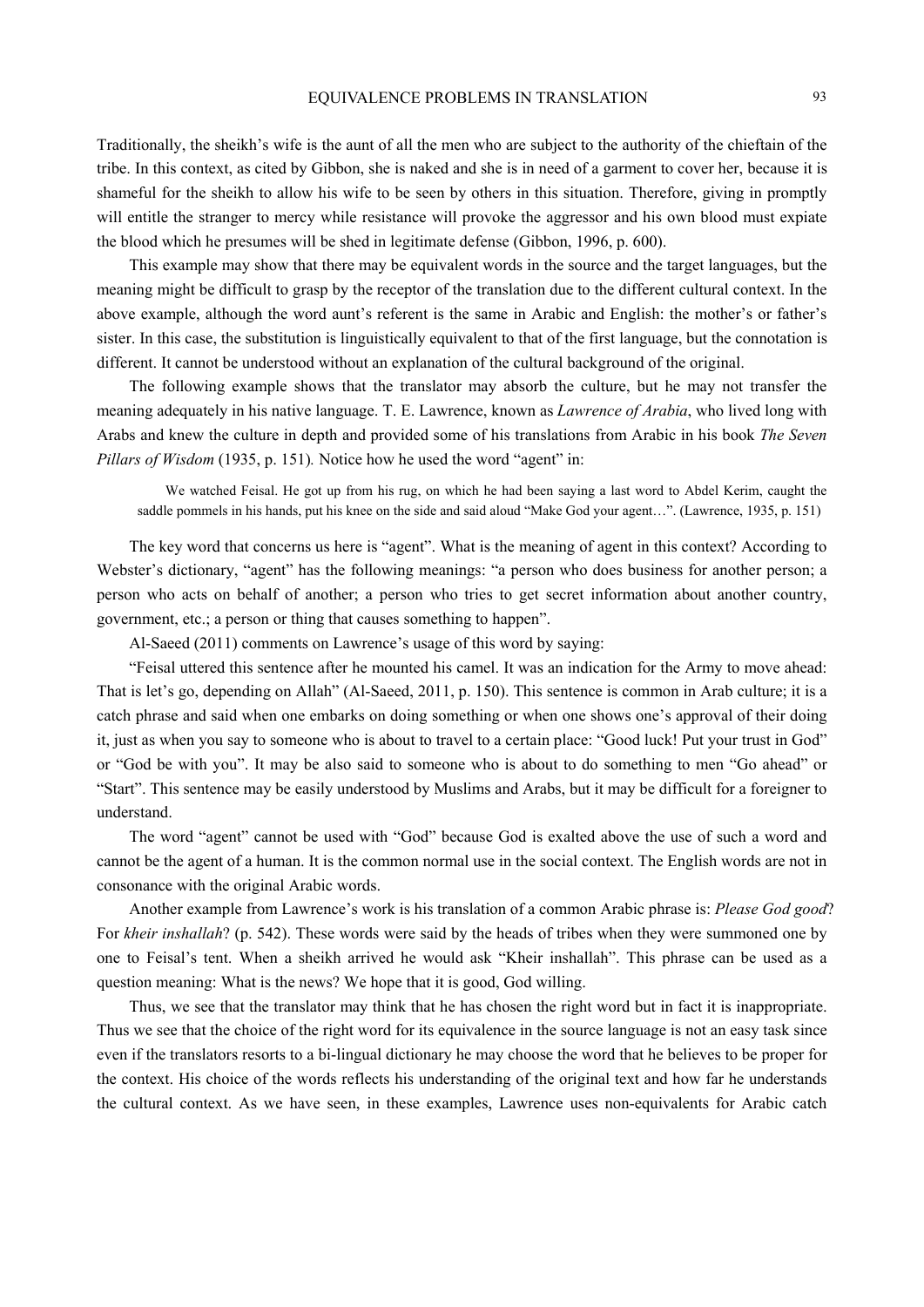Traditionally, the sheikh's wife is the aunt of all the men who are subject to the authority of the chieftain of the tribe. In this context, as cited by Gibbon, she is naked and she is in need of a garment to cover her, because it is shameful for the sheikh to allow his wife to be seen by others in this situation. Therefore, giving in promptly will entitle the stranger to mercy while resistance will provoke the aggressor and his own blood must expiate the blood which he presumes will be shed in legitimate defense (Gibbon, 1996, p. 600).

This example may show that there may be equivalent words in the source and the target languages, but the meaning might be difficult to grasp by the receptor of the translation due to the different cultural context. In the above example, although the word aunt's referent is the same in Arabic and English: the mother's or father's sister. In this case, the substitution is linguistically equivalent to that of the first language, but the connotation is different. It cannot be understood without an explanation of the cultural background of the original.

The following example shows that the translator may absorb the culture, but he may not transfer the meaning adequately in his native language. T. E. Lawrence, known as *Lawrence of Arabia*, who lived long with Arabs and knew the culture in depth and provided some of his translations from Arabic in his book *The Seven Pillars of Wisdom* (1935, p. 151). Notice how he used the word "agent" in:

We watched Feisal. He got up from his rug, on which he had been saying a last word to Abdel Kerim, caught the saddle pommels in his hands, put his knee on the side and said aloud "Make God your agent...". (Lawrence, 1935, p. 151)

The key word that concerns us here is "agent". What is the meaning of agent in this context? According to Webster's dictionary, "agent" has the following meanings: "a person who does business for another person; a person who acts on behalf of another; a person who tries to get secret information about another country, government, etc.; a person or thing that causes something to happen".

Al-Saeed (2011) comments on Lawrence's usage of this word by saying:

"Feisal uttered this sentence after he mounted his camel. It was an indication for the Army to move ahead: That is let's go, depending on Allah" (Al-Saeed, 2011, p. 150). This sentence is common in Arab culture; it is a catch phrase and said when one embarks on doing something or when one shows one's approval of their doing it, just as when you say to someone who is about to travel to a certain place: "Good luck! Put your trust in God" or "God be with you". It may be also said to someone who is about to do something to men "Go ahead" or "Start". This sentence may be easily understood by Muslims and Arabs, but it may be difficult for a foreigner to understand.

The word "agent" cannot be used with "God" because God is exalted above the use of such a word and cannot be the agent of a human. It is the common normal use in the social context. The English words are not in consonance with the original Arabic words.

Another example from Lawrence's work is his translation of a common Arabic phrase is: *Please God good*? For *kheir inshallah*? (p. 542). These words were said by the heads of tribes when they were summoned one by one to Feisal's tent. When a sheikh arrived he would ask "Kheir inshallah". This phrase can be used as a question meaning: What is the news? We hope that it is good, God willing.

Thus, we see that the translator may think that he has chosen the right word but in fact it is inappropriate. Thus we see that the choice of the right word for its equivalence in the source language is not an easy task since even if the translators resorts to a bi-lingual dictionary he may choose the word that he believes to be proper for the context. His choice of the words reflects his understanding of the original text and how far he understands the cultural context. As we have seen, in these examples, Lawrence uses non-equivalents for Arabic catch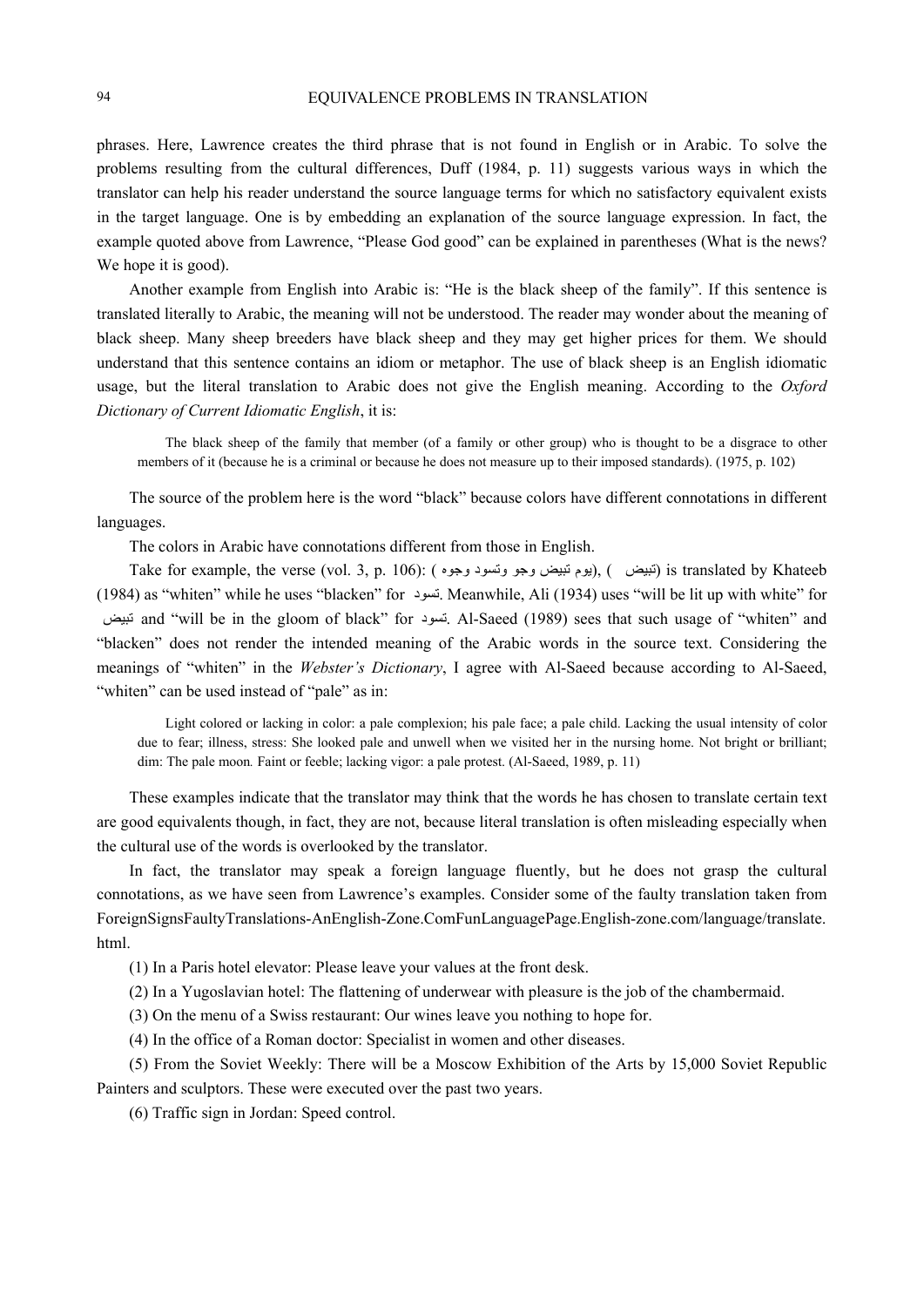phrases. Here, Lawrence creates the third phrase that is not found in English or in Arabic. To solve the problems resulting from the cultural differences, Duff (1984, p. 11) suggests various ways in which the translator can help his reader understand the source language terms for which no satisfactory equivalent exists in the target language. One is by embedding an explanation of the source language expression. In fact, the example quoted above from Lawrence, "Please God good" can be explained in parentheses (What is the news? We hope it is good).

Another example from English into Arabic is: "He is the black sheep of the family". If this sentence is translated literally to Arabic, the meaning will not be understood. The reader may wonder about the meaning of black sheep. Many sheep breeders have black sheep and they may get higher prices for them. We should understand that this sentence contains an idiom or metaphor. The use of black sheep is an English idiomatic usage, but the literal translation to Arabic does not give the English meaning. According to the *Oxford Dictionary of Current Idiomatic English*, it is:

The black sheep of the family that member (of a family or other group) who is thought to be a disgrace to other members of it (because he is a criminal or because he does not measure up to their imposed standards). (1975, p. 102)

The source of the problem here is the word "black" because colors have different connotations in different languages.

The colors in Arabic have connotations different from those in English.

Take for example, the verse (vol. 3, p. 106): ( وجوه وتسود وجوه), (, ) is translated by Khateeb (1984) as "whiten" while he uses "blacken" for تسود. Meanwhile, Ali (1934) uses "will be lit up with white" for تبيض and "will be in the gloom of black" for تسود. Al-Saeed (1989) sees that such usage of "whiten" and "blacken" does not render the intended meaning of the Arabic words in the source text. Considering the meanings of "whiten" in the *Webster's Dictionary*, I agree with Al-Saeed because according to Al-Saeed, "whiten" can be used instead of "pale" as in:

Light colored or lacking in color: a pale complexion; his pale face; a pale child. Lacking the usual intensity of color due to fear; illness, stress: She looked pale and unwell when we visited her in the nursing home. Not bright or brilliant; dim: The pale moon. Faint or feeble; lacking vigor: a pale protest. (Al-Saeed, 1989, p. 11)

These examples indicate that the translator may think that the words he has chosen to translate certain text are good equivalents though, in fact, they are not, because literal translation is often misleading especially when the cultural use of the words is overlooked by the translator.

In fact, the translator may speak a foreign language fluently, but he does not grasp the cultural connotations, as we have seen from Lawrence's examples. Consider some of the faulty translation taken from ForeignSignsFaultyTranslations-AnEnglish-Zone.ComFunLanguagePage.English-zone.com/language/translate. html.

(1) In a Paris hotel elevator: Please leave your values at the front desk.

(2) In a Yugoslavian hotel: The flattening of underwear with pleasure is the job of the chambermaid.

(3) On the menu of a Swiss restaurant: Our wines leave you nothing to hope for.

(4) In the office of a Roman doctor: Specialist in women and other diseases.

(5) From the Soviet Weekly: There will be a Moscow Exhibition of the Arts by 15,000 Soviet Republic Painters and sculptors. These were executed over the past two years.

(6) Traffic sign in Jordan: Speed control.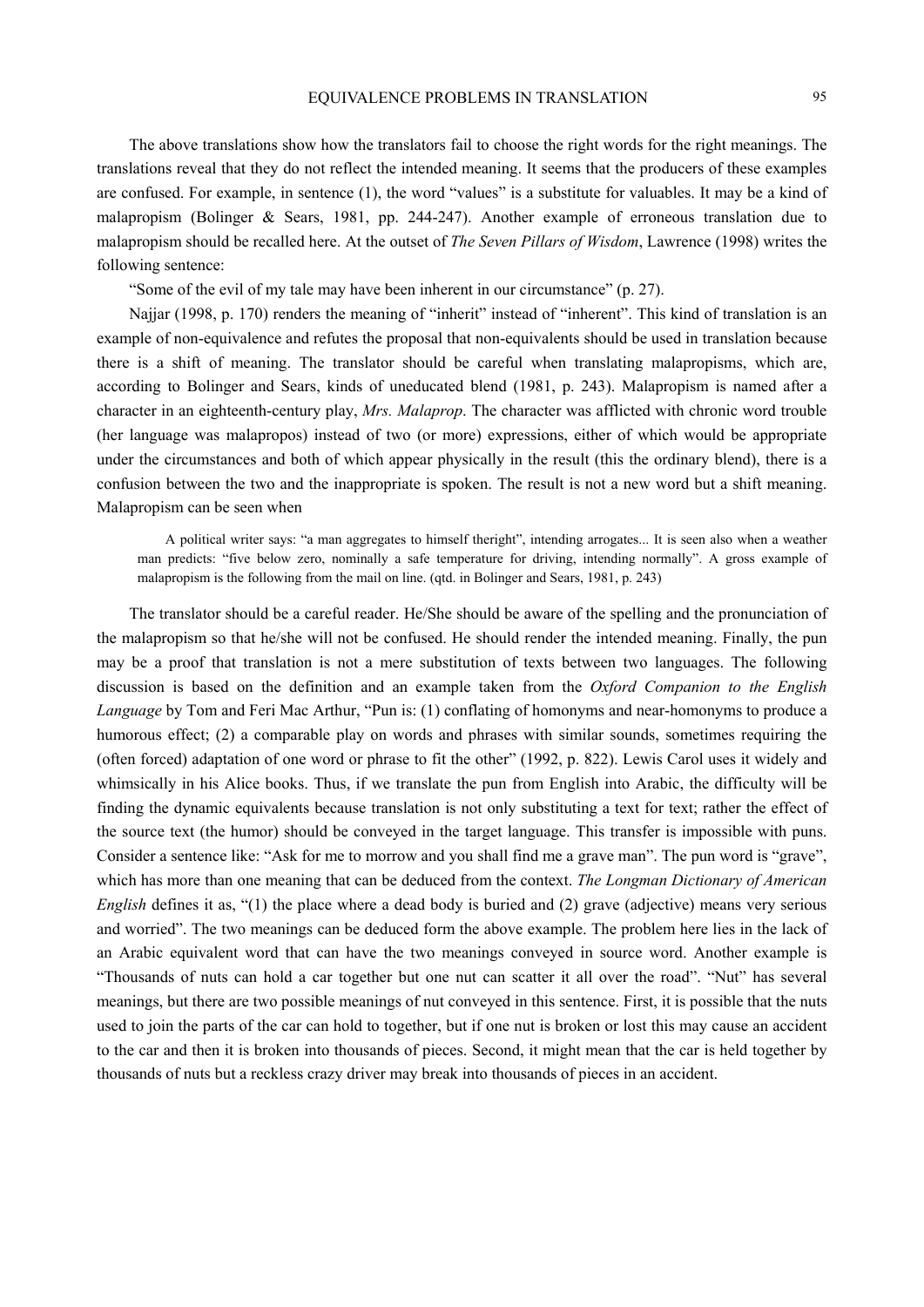The above translations show how the translators fail to choose the right words for the right meanings. The translations reveal that they do not reflect the intended meaning. It seems that the producers of these examples are confused. For example, in sentence (1), the word "values" is a substitute for valuables. It may be a kind of malapropism (Bolinger & Sears, 1981, pp. 244-247). Another example of erroneous translation due to malapropism should be recalled here. At the outset of *The Seven Pillars of Wisdom*, Lawrence (1998) writes the following sentence:

"Some of the evil of my tale may have been inherent in our circumstance" (p. 27).

Najjar (1998, p. 170) renders the meaning of "inherit" instead of "inherent". This kind of translation is an example of non-equivalence and refutes the proposal that non-equivalents should be used in translation because there is a shift of meaning. The translator should be careful when translating malapropisms, which are, according to Bolinger and Sears, kinds of uneducated blend (1981, p. 243). Malapropism is named after a character in an eighteenth-century play, *Mrs. Malaprop*. The character was afflicted with chronic word trouble (her language was malapropos) instead of two (or more) expressions, either of which would be appropriate under the circumstances and both of which appear physically in the result (this the ordinary blend), there is a confusion between the two and the inappropriate is spoken. The result is not a new word but a shift meaning. Malapropism can be seen when

A political writer says: "a man aggregates to himself theright", intending arrogates... It is seen also when a weather man predicts: "five below zero, nominally a safe temperature for driving, intending normally". A gross example of malapropism is the following from the mail on line. (qtd. in Bolinger and Sears, 1981, p. 243)

The translator should be a careful reader. He/She should be aware of the spelling and the pronunciation of the malapropism so that he/she will not be confused. He should render the intended meaning. Finally, the pun may be a proof that translation is not a mere substitution of texts between two languages. The following discussion is based on the definition and an example taken from the *Oxford Companion to the English Language* by Tom and Feri Mac Arthur, "Pun is: (1) conflating of homonyms and near-homonyms to produce a humorous effect; (2) a comparable play on words and phrases with similar sounds, sometimes requiring the (often forced) adaptation of one word or phrase to fit the other" (1992, p. 822). Lewis Carol uses it widely and whimsically in his Alice books. Thus, if we translate the pun from English into Arabic, the difficulty will be finding the dynamic equivalents because translation is not only substituting a text for text; rather the effect of the source text (the humor) should be conveyed in the target language. This transfer is impossible with puns. Consider a sentence like: "Ask for me to morrow and you shall find me a grave man". The pun word is "grave", which has more than one meaning that can be deduced from the context. *The Longman Dictionary of American English* defines it as, "(1) the place where a dead body is buried and (2) grave (adjective) means very serious and worried". The two meanings can be deduced form the above example. The problem here lies in the lack of an Arabic equivalent word that can have the two meanings conveyed in source word. Another example is "Thousands of nuts can hold a car together but one nut can scatter it all over the road". "Nut" has several meanings, but there are two possible meanings of nut conveyed in this sentence. First, it is possible that the nuts used to join the parts of the car can hold to together, but if one nut is broken or lost this may cause an accident to the car and then it is broken into thousands of pieces. Second, it might mean that the car is held together by thousands of nuts but a reckless crazy driver may break into thousands of pieces in an accident.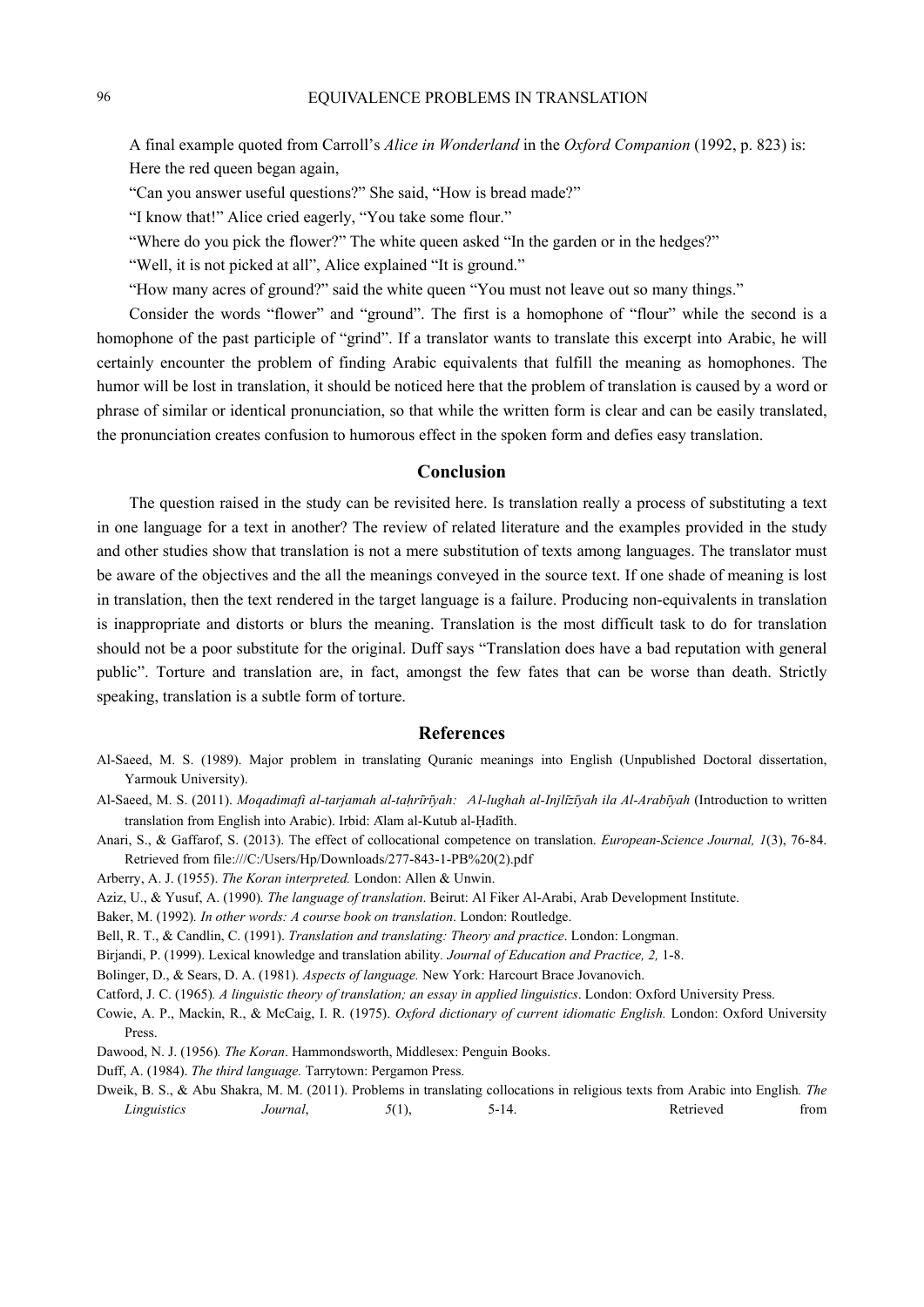A final example quoted from Carroll's *Alice in Wonderland* in the *Oxford Companion* (1992, p. 823) is: Here the red queen began again,

"Can you answer useful questions?" She said, "How is bread made?"

"I know that!" Alice cried eagerly, "You take some flour."

"Where do you pick the flower?" The white queen asked "In the garden or in the hedges?"

"Well, it is not picked at all", Alice explained "It is ground."

"How many acres of ground?" said the white queen "You must not leave out so many things."

Consider the words "flower" and "ground". The first is a homophone of "flour" while the second is a homophone of the past participle of "grind". If a translator wants to translate this excerpt into Arabic, he will certainly encounter the problem of finding Arabic equivalents that fulfill the meaning as homophones. The humor will be lost in translation, it should be noticed here that the problem of translation is caused by a word or phrase of similar or identical pronunciation, so that while the written form is clear and can be easily translated, the pronunciation creates confusion to humorous effect in the spoken form and defies easy translation.

## **Conclusion**

The question raised in the study can be revisited here. Is translation really a process of substituting a text in one language for a text in another? The review of related literature and the examples provided in the study and other studies show that translation is not a mere substitution of texts among languages. The translator must be aware of the objectives and the all the meanings conveyed in the source text. If one shade of meaning is lost in translation, then the text rendered in the target language is a failure. Producing non-equivalents in translation is inappropriate and distorts or blurs the meaning. Translation is the most difficult task to do for translation should not be a poor substitute for the original. Duff says "Translation does have a bad reputation with general public". Torture and translation are, in fact, amongst the few fates that can be worse than death. Strictly speaking, translation is a subtle form of torture.

### **References**

- Al-Saeed, M. S. (1989). Major problem in translating Quranic meanings into English (Unpublished Doctoral dissertation, Yarmouk University).
- Al-Saeed, M. S. (2011). *Moqadimafi al-tarjamah al-taḥri*̄*ri*̄*yah:* A*l-lughah al-Injli*̄*zi*̄*yah ila Al-Arabi*̄*yah* (Introduction to written translation from English into Arabic). Irbid: Alam al-Kutub al-Hadīth.

Anari, S., & Gaffarof, S. (2013). The effect of collocational competence on translation. *European-Science Journal, 1*(3), 76-84. Retrieved from file:///C:/Users/Hp/Downloads/277-843-1-PB%20(2).pdf

- Arberry, A. J. (1955). *The Koran interpreted.* London: Allen & Unwin.
- Aziz, U., & Yusuf, A. (1990)*. The language of translation*. Beirut: Al Fiker Al-Arabi, Arab Development Institute.
- Baker, M. (1992)*. In other words: A course book on translation*. London: Routledge.
- Bell, R. T., & Candlin, C. (1991). *Translation and translating: Theory and practice*. London: Longman.

Birjandi, P. (1999). Lexical knowledge and translation ability*. Journal of Education and Practice, 2,* 1-8.

Bolinger, D., & Sears, D. A. (1981)*. Aspects of language.* New York: Harcourt Brace Jovanovich.

Catford, J. C. (1965)*. A linguistic theory of translation; an essay in applied linguistics*. London: Oxford University Press.

Cowie, A. P., Mackin, R., & McCaig, I. R. (1975). *Oxford dictionary of current idiomatic English.* London: Oxford University Press.

Dawood, N. J. (1956)*. The Koran*. Hammondsworth, Middlesex: Penguin Books.

Duff, A. (1984). *The third language.* Tarrytown: Pergamon Press.

Dweik, B. S., & Abu Shakra, M. M. (2011). Problems in translating collocations in religious texts from Arabic into English*. The Linguistics Journal*, 5(1), 5-14. Retrieved from